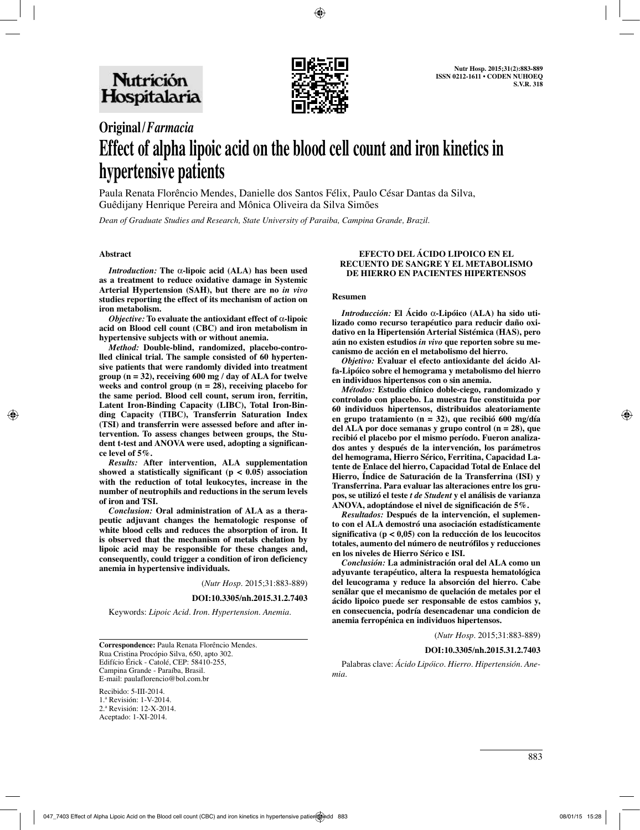

# **Original/***Farmacia* **Effect of alpha lipoic acid on the blood cell count and iron kinetics in hypertensive patients**

Paula Renata Florêncio Mendes, Danielle dos Santos Félix, Paulo César Dantas da Silva, Guêdijany Henrique Pereira and Mônica Oliveira da Silva Simões

*Dean of Graduate Studies and Research, State University of Paraiba, Campina Grande, Brazil.*

#### **Abstract**

*Introduction:* **The** α**-lipoic acid (ALA) has been used as a treatment to reduce oxidative damage in Systemic Arterial Hypertension (SAH), but there are no** *in vivo* **studies reporting the effect of its mechanism of action on iron metabolism.** 

*Objective:* **To evaluate the antioxidant effect of** α**-lipoic acid on Blood cell count (CBC) and iron metabolism in hypertensive subjects with or without anemia.** 

*Method:* **Double-blind, randomized, placebo-controlled clinical trial. The sample consisted of 60 hypertensive patients that were randomly divided into treatment group (n = 32), receiving 600 mg / day of ALA for twelve weeks and control group (n = 28), receiving placebo for the same period. Blood cell count, serum iron, ferritin, Latent Iron-Binding Capacity (LIBC), Total Iron-Binding Capacity (TIBC), Transferrin Saturation Index (TSI) and transferrin were assessed before and after intervention. To assess changes between groups, the Student t-test and ANOVA were used, adopting a significance level of 5%.** 

*Results:* **After intervention, ALA supplementation showed a statistically significant (p < 0.05) association with the reduction of total leukocytes, increase in the number of neutrophils and reductions in the serum levels of iron and TSI.** 

*Conclusion:* **Oral administration of ALA as a therapeutic adjuvant changes the hematologic response of white blood cells and reduces the absorption of iron. It is observed that the mechanism of metals chelation by lipoic acid may be responsible for these changes and, consequently, could trigger a condition of iron deficiency anemia in hypertensive individuals.**

(*Nutr Hosp.* 2015;31:883-889)

**DOI:10.3305/nh.2015.31.2.7403**

Keywords: *Lipoic Acid. Iron. Hypertension. Anemia.*

**Correspondence:** Paula Renata Florêncio Mendes. Rua Cristina Procópio Silva, 650, apto 302. Edifício Érick - Catolé, CEP: 58410-255, Campina Grande - Paraíba, Brasil. E-mail: paulaflorencio@bol.com.br

Recibido: 5-III-2014. 1.ª Revisión: 1-V-2014. 2.ª Revisión: 12-X-2014. Aceptado: 1-XI-2014.

#### **EFECTO DEL ÁCIDO LIPOICO EN EL RECUENTO DE SANGRE Y EL METABOLISMO DE HIERRO EN PACIENTES HIPERTENSOS**

#### **Resumen**

*Introducción:* **El Ácido** α**-Lipóico (ALA) ha sido utilizado como recurso terapéutico para reducir daño oxidativo en la Hipertensión Arterial Sistémica (HAS), pero aún no existen estudios** *in vivo* **que reporten sobre su mecanismo de acción en el metabolismo del hierro.** 

*Objetivo:* **Evaluar el efecto antioxidante del ácido Alfa-Lipóico sobre el hemograma y metabolismo del hierro en individuos hipertensos con o sin anemia.** 

*Métodos:* **Estudio clínico doble-ciego, randomizado y controlado con placebo. La muestra fue constituida por 60 individuos hipertensos, distribuidos aleatoriamente en grupo tratamiento (n = 32), que recibió 600 mg/día del ALA por doce semanas y grupo control (n = 28), que recibió el placebo por el mismo período. Fueron analizados antes y después de la intervención, los parámetros del hemograma, Hierro Sérico, Ferritina, Capacidad Latente de Enlace del hierro, Capacidad Total de Enlace del Hierro, Índice de Saturación de la Transferrina (ISI) y Transferrina. Para evaluar las alteraciones entre los grupos, se utilizó el teste** *t de Student* **y el análisis de varianza ANOVA, adoptándose el nivel de significación de 5%.** 

*Resultados:* **Después de la intervención, el suplemento con el ALA demostró una asociación estadísticamente significativa (p < 0,05) con la reducción de los leucocitos totales, aumento del número de neutrófilos y reducciones en los niveles de Hierro Sérico e ISI.** 

*Conclusión:* **La administración oral del ALA como un adyuvante terapéutico, altera la respuesta hematológica del leucograma y reduce la absorción del hierro. Cabe senãlar que el mecanismo de quelación de metales por el ácido lipoico puede ser responsable de estos cambios y, en consecuencia, podría desencadenar una condicion de anemia ferropénica en individuos hipertensos.**

(*Nutr Hosp.* 2015;31:883-889)

## **DOI:10.3305/nh.2015.31.2.7403**

Palabras clave: *Ácido Lipóico. Hierro. Hipertensión. Anemia.*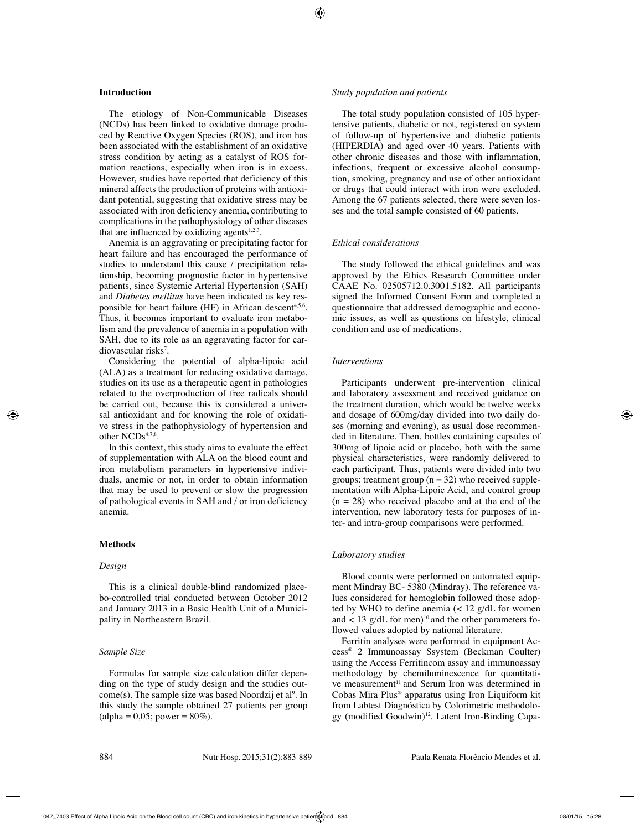## **Introduction**

The etiology of Non-Communicable Diseases (NCDs) has been linked to oxidative damage produced by Reactive Oxygen Species (ROS), and iron has been associated with the establishment of an oxidative stress condition by acting as a catalyst of ROS formation reactions, especially when iron is in excess. However, studies have reported that deficiency of this mineral affects the production of proteins with antioxidant potential, suggesting that oxidative stress may be associated with iron deficiency anemia, contributing to complications in the pathophysiology of other diseases that are influenced by oxidizing agents $1,2,3$ .

Anemia is an aggravating or precipitating factor for heart failure and has encouraged the performance of studies to understand this cause / precipitation relationship, becoming prognostic factor in hypertensive patients, since Systemic Arterial Hypertension (SAH) and *Diabetes mellitus* have been indicated as key responsible for heart failure (HF) in African descent<sup>4,5,6</sup>. Thus, it becomes important to evaluate iron metabolism and the prevalence of anemia in a population with SAH, due to its role as an aggravating factor for cardiovascular risks7 .

Considering the potential of alpha-lipoic acid (ALA) as a treatment for reducing oxidative damage, studies on its use as a therapeutic agent in pathologies related to the overproduction of free radicals should be carried out, because this is considered a universal antioxidant and for knowing the role of oxidative stress in the pathophysiology of hypertension and other NCDs<sup>4,7,8</sup>.

In this context, this study aims to evaluate the effect of supplementation with ALA on the blood count and iron metabolism parameters in hypertensive individuals, anemic or not, in order to obtain information that may be used to prevent or slow the progression of pathological events in SAH and / or iron deficiency anemia.

## **Methods**

## *Design*

This is a clinical double-blind randomized placebo-controlled trial conducted between October 2012 and January 2013 in a Basic Health Unit of a Municipality in Northeastern Brazil.

## *Sample Size*

Formulas for sample size calculation differ depending on the type of study design and the studies out $come(s)$ . The sample size was based Noordzij et al<sup>9</sup>. In this study the sample obtained 27 patients per group  $\text{(alpha = } 0.05; \text{ power} = 80\%).$ 

## *Study population and patients*

The total study population consisted of 105 hypertensive patients, diabetic or not, registered on system of follow-up of hypertensive and diabetic patients (HIPERDIA) and aged over 40 years. Patients with other chronic diseases and those with inflammation, infections, frequent or excessive alcohol consumption, smoking, pregnancy and use of other antioxidant or drugs that could interact with iron were excluded. Among the 67 patients selected, there were seven losses and the total sample consisted of 60 patients.

## *Ethical considerations*

The study followed the ethical guidelines and was approved by the Ethics Research Committee under CAAE No. 02505712.0.3001.5182. All participants signed the Informed Consent Form and completed a questionnaire that addressed demographic and economic issues, as well as questions on lifestyle, clinical condition and use of medications.

## *Interventions*

Participants underwent pre-intervention clinical and laboratory assessment and received guidance on the treatment duration, which would be twelve weeks and dosage of 600mg/day divided into two daily doses (morning and evening), as usual dose recommended in literature. Then, bottles containing capsules of 300mg of lipoic acid or placebo, both with the same physical characteristics, were randomly delivered to each participant. Thus, patients were divided into two groups: treatment group  $(n = 32)$  who received supplementation with Alpha-Lipoic Acid, and control group  $(n = 28)$  who received placebo and at the end of the intervention, new laboratory tests for purposes of inter- and intra-group comparisons were performed.

## *Laboratory studies*

Blood counts were performed on automated equipment Mindray BC- 5380 (Mindray). The reference values considered for hemoglobin followed those adopted by WHO to define anemia (< 12 g/dL for women and  $\lt$  13 g/dL for men)<sup>10</sup> and the other parameters followed values adopted by national literature.

Ferritin analyses were performed in equipment Access® 2 Immunoassay Ssystem (Beckman Coulter) using the Access Ferritincom assay and immunoassay methodology by chemiluminescence for quantitative measurement<sup>11</sup> and Serum Iron was determined in Cobas Mira Plus® apparatus using Iron Liquiform kit from Labtest Diagnóstica by Colorimetric methodology (modified Goodwin)<sup>12</sup>. Latent Iron-Binding Capa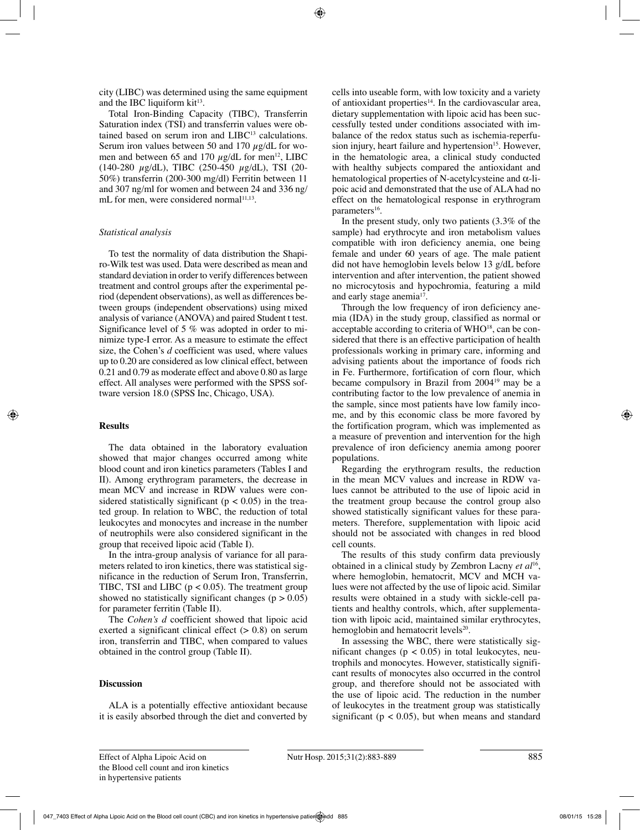city (LIBC) was determined using the same equipment and the IBC liquiform  $kit^{13}$ .

Total Iron-Binding Capacity (TIBC), Transferrin Saturation index (TSI) and transferrin values were obtained based on serum iron and LIBC<sup>13</sup> calculations. Serum iron values between 50 and 170  $\mu$ g/dL for women and between 65 and 170  $\mu$ g/dL for men<sup>12</sup>, LIBC (140-280 µg/dL), TIBC (250-450 µg/dL), TSI (20- 50%) transferrin (200-300 mg/dl) Ferritin between 11 and 307 ng/ml for women and between 24 and 336 ng/ mL for men, were considered normal<sup>11,13</sup>.

## *Statistical analysis*

To test the normality of data distribution the Shapiro-Wilk test was used. Data were described as mean and standard deviation in order to verify differences between treatment and control groups after the experimental period (dependent observations), as well as differences between groups (independent observations) using mixed analysis of variance (ANOVA) and paired Student t test. Significance level of 5 % was adopted in order to minimize type-I error. As a measure to estimate the effect size, the Cohen's *d* coefficient was used, where values up to 0.20 are considered as low clinical effect, between 0.21 and 0.79 as moderate effect and above 0.80 as large effect. All analyses were performed with the SPSS software version 18.0 (SPSS Inc, Chicago, USA).

## **Results**

The data obtained in the laboratory evaluation showed that major changes occurred among white blood count and iron kinetics parameters (Tables I and II). Among erythrogram parameters, the decrease in mean MCV and increase in RDW values were considered statistically significant ( $p < 0.05$ ) in the treated group. In relation to WBC, the reduction of total leukocytes and monocytes and increase in the number of neutrophils were also considered significant in the group that received lipoic acid (Table I).

In the intra-group analysis of variance for all parameters related to iron kinetics, there was statistical significance in the reduction of Serum Iron, Transferrin, TIBC, TSI and LIBC ( $p < 0.05$ ). The treatment group showed no statistically significant changes ( $p > 0.05$ ) for parameter ferritin (Table II).

The *Cohen's d* coefficient showed that lipoic acid exerted a significant clinical effect  $(> 0.8)$  on serum iron, transferrin and TIBC, when compared to values obtained in the control group (Table II).

# **Discussion**

ALA is a potentially effective antioxidant because it is easily absorbed through the diet and converted by cells into useable form, with low toxicity and a variety of antioxidant properties $14$ . In the cardiovascular area, dietary supplementation with lipoic acid has been successfully tested under conditions associated with imbalance of the redox status such as ischemia-reperfusion injury, heart failure and hypertension $15$ . However, in the hematologic area, a clinical study conducted with healthy subjects compared the antioxidant and hematological properties of N-acetylcysteine and α-lipoic acid and demonstrated that the use of ALA had no effect on the hematological response in erythrogram parameters<sup>16</sup>.

In the present study, only two patients (3.3% of the sample) had erythrocyte and iron metabolism values compatible with iron deficiency anemia, one being female and under 60 years of age. The male patient did not have hemoglobin levels below 13 g/dL before intervention and after intervention, the patient showed no microcytosis and hypochromia, featuring a mild and early stage anemia<sup>17</sup>.

Through the low frequency of iron deficiency anemia (IDA) in the study group, classified as normal or acceptable according to criteria of WHO<sup>18</sup>, can be considered that there is an effective participation of health professionals working in primary care, informing and advising patients about the importance of foods rich in Fe. Furthermore, fortification of corn flour, which became compulsory in Brazil from 200419 may be a contributing factor to the low prevalence of anemia in the sample, since most patients have low family income, and by this economic class be more favored by the fortification program, which was implemented as a measure of prevention and intervention for the high prevalence of iron deficiency anemia among poorer populations.

Regarding the erythrogram results, the reduction in the mean MCV values and increase in RDW values cannot be attributed to the use of lipoic acid in the treatment group because the control group also showed statistically significant values for these parameters. Therefore, supplementation with lipoic acid should not be associated with changes in red blood cell counts.

The results of this study confirm data previously obtained in a clinical study by Zembron Lacny *et al*16, where hemoglobin, hematocrit, MCV and MCH values were not affected by the use of lipoic acid. Similar results were obtained in a study with sickle-cell patients and healthy controls, which, after supplementation with lipoic acid, maintained similar erythrocytes, hemoglobin and hematocrit levels $20$ .

In assessing the WBC, there were statistically significant changes ( $p < 0.05$ ) in total leukocytes, neutrophils and monocytes. However, statistically significant results of monocytes also occurred in the control group, and therefore should not be associated with the use of lipoic acid. The reduction in the number of leukocytes in the treatment group was statistically significant ( $p < 0.05$ ), but when means and standard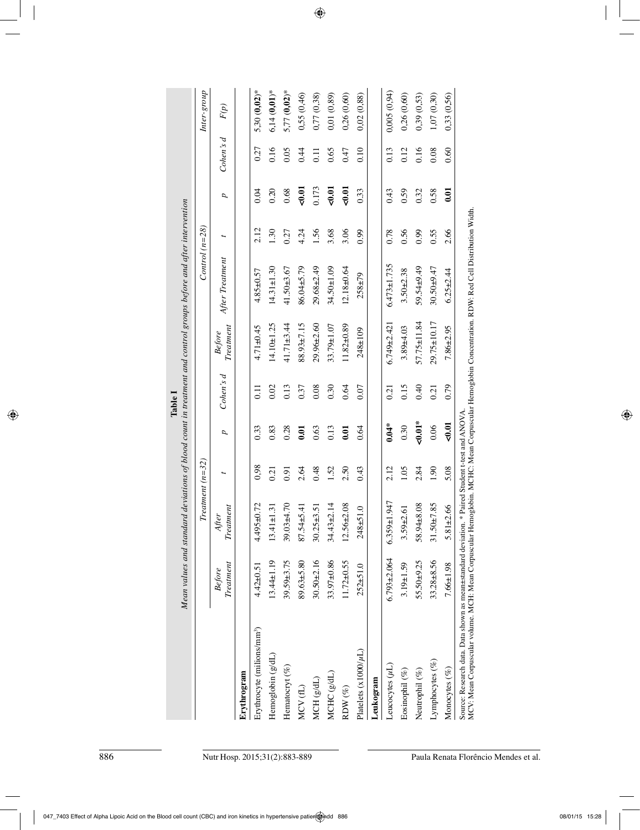|                                        |                     |                                             |                   |          | Table 1          |                                      | Mean values and standard deviations of blood count in treatment and control groups before and after intervention |      |       |                 |                  |
|----------------------------------------|---------------------|---------------------------------------------|-------------------|----------|------------------|--------------------------------------|------------------------------------------------------------------------------------------------------------------|------|-------|-----------------|------------------|
|                                        |                     | F                                           | $returnent(n=32)$ |          |                  |                                      | Control $(n=28)$                                                                                                 |      |       |                 | Inter-group      |
|                                        | Treatment<br>Before | $\label{eq:recurrent} The attempt$<br>After | t                 | p,       | Cohen's d        | $\label{eq:1} The at ment$<br>Before | After Treatment                                                                                                  |      | p,    | Cohen's d       | $\mathcal{F}(p)$ |
| Erythrogram                            |                     |                                             |                   |          |                  |                                      |                                                                                                                  |      |       |                 |                  |
| Erythrocyte (milions/mm <sup>3</sup> ) | $4.42 \pm 0.51$     | $4.495 + 0.72$                              | 0,98              | 0.33     | $\overline{0}$ . | $4.71 \pm 0.45$                      | $4.85 + 0.57$                                                                                                    | 2.12 | 0.04  | 0.27            | $5,30(0,02)$ *   |
| Hemoglobin (g/dL)                      | $13.44 \pm 1.19$    | $\ddot{3}$<br>$13.41 \pm 1$                 | 0.21              | 0.83     | 0.02             | $14.10 \pm 1.25$                     | $14.31 \pm 1.30$                                                                                                 | 1.30 | 0.20  | 0.16            | $6,14(0,01)*$    |
| Hematocryt (%)                         | $39.59 + 3.75$      | $39.03 + 4.70$                              | 0.91              | 0.28     | 0.13             | $41.71\pm3.44$                       | $41.50 + 3.67$                                                                                                   | 0.27 | 0.68  | 0.05            | $5,77(0,02)$ *   |
| $MCV$ (fL)                             | 89.63±5.80          | 87.54±5.41                                  | 2.64              | 0.01     | 0.37             | 88.93±7.15                           | 86.04±5.79                                                                                                       | 4.24 | 50.01 | 0.44            | 0,55(0,46)       |
| MCH(g/dL)                              | $30.50 + 2.16$      | 5.51<br>$30.25 \pm 3$                       | 0.48              | 0.63     | 0.08             | $29.96 + 2.60$                       | 29.68±2.49                                                                                                       | 1.56 | 0.173 | $\overline{11}$ | 0,77(0,38)       |
| MCHC (g/dL)                            | 33.97±0.86          | $34.43 \pm 2.14$                            | 1.52              | 0.13     | 0.30             | $33.79 \pm 1.07$                     | 34.50±1.09                                                                                                       | 3.68 | 50.01 | 0.65            | 0,01(0,89)       |
| RDW $(\%)$                             | $11.72 \pm 0.55$    | $12.56 + 2.08$                              | 2.50              | 0.01     | 0.64             | $11.82 \pm 0.89$                     | $12.18 + 0.64$                                                                                                   | 3.06 | 50.01 | 0.47            | 0,26(0,60)       |
| Platelets $(x1000/\mu L)$              | $252 + 51.0$        | $\overline{1.0}$<br>$248 + 51$              | 0.43              | 0.64     | 0.07             | 248±109                              | $258 + 79$                                                                                                       | 0.99 | 0.33  | 0.10            | 0.02(0.88)       |
| Leukogram                              |                     |                                             |                   |          |                  |                                      |                                                                                                                  |      |       |                 |                  |
| Leucocytes $(\mu L)$                   | $6.793 + 2.064$     | 947<br>$6.359 \pm 1$                        | 2.12              | $0.04*$  | 0.21             | $6.749 + 2.421$                      | $6.473 \pm 1.735$                                                                                                | 0.78 | 0.43  | 0.13            | 0,005(0,94)      |
| Eosinophil <sup>(%)</sup>              | $3.19 \pm 1.59$     | $\overline{6}$<br>$3.59 + 2.$               | 1.05              | 0.30     | 0.15             | 3.89±4.03                            | $3.50 + 2.38$                                                                                                    | 0.56 | 0.59  | 0.12            | 0,26(0,60)       |
| Neutrophil (%)                         | 55.50±9.25          | 58.94±8.08                                  | 2.84              | $40.01*$ | 0.40             | $57.75 \pm 11.84$                    | 59.54±9.49                                                                                                       | 0.99 | 0.32  | 0.16            | 0,39(0,53)       |
| Lymphocytes (%)                        | $33.28 + 8.56$      | .85<br>$31.50 \pm 7$                        | 1.90              | 0.06     | 0.21             | 29.75±10.17                          | $30.50 \pm 9.47$                                                                                                 | 0.55 | 0.58  | 0.08            | 1,07 (0,30)      |
| Monocytes (%)                          | 7.66±1.98           | 89.<br>$5.81 \pm 2$                         | 5.08              | $-0.01$  | 0.79             | $7.86 + 2.95$                        | $6.25 + 2.44$                                                                                                    | 2.66 | 0.01  | 0.60            | 0.33(0.56)       |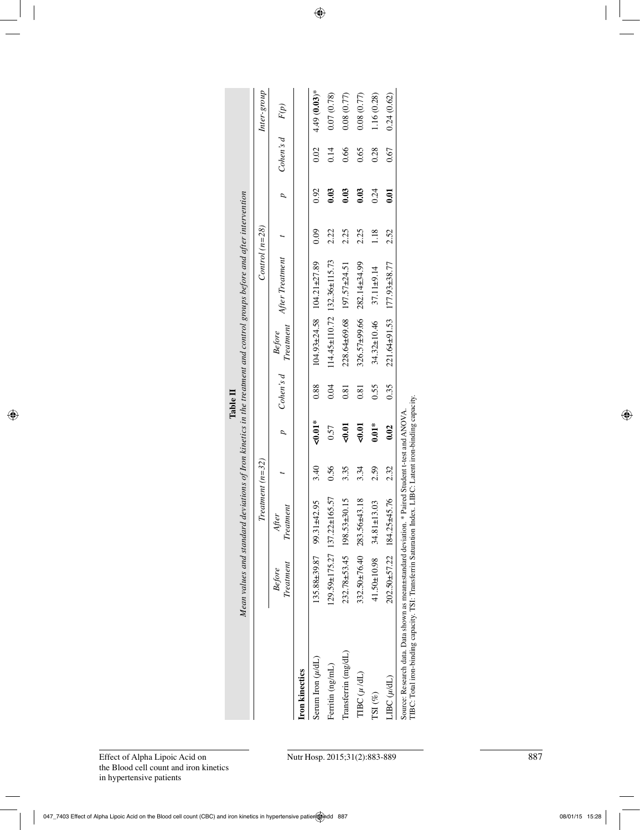|                                                                                                                                                                                                              | Mean values and standard deviations of Iron kinetics in the treatment and control groups before and after intervention |                                         |      |                 |           |                                    |                                       |      |                |           |               |
|--------------------------------------------------------------------------------------------------------------------------------------------------------------------------------------------------------------|------------------------------------------------------------------------------------------------------------------------|-----------------------------------------|------|-----------------|-----------|------------------------------------|---------------------------------------|------|----------------|-----------|---------------|
|                                                                                                                                                                                                              |                                                                                                                        | Treatment $(n=32)$                      |      |                 |           |                                    | Control $(n=28)$                      |      |                |           | Inter-group   |
|                                                                                                                                                                                                              | Treatment<br>Before                                                                                                    | Treatment<br>After                      |      | $\overline{a}$  | Cohen's d | Before<br>Treatment                | After Treatment                       |      | $\overline{a}$ | Cohen's d | F(p)          |
| <b>Iron</b> kinectics                                                                                                                                                                                        |                                                                                                                        |                                         |      |                 |           |                                    |                                       |      |                |           |               |
| Serum Iron $(\mu/dL)$                                                                                                                                                                                        |                                                                                                                        | $135.88\pm 39.87$ 99.31 $\pm 42.95$     | 3.40 | $\approx 0.01*$ | 0.88      |                                    | $104.93 \pm 24.58$ $104.21 \pm 27.89$ | 0.09 | 0.92           | 0.02      | $4.49(0.03)*$ |
| Ferritin (ng/mL)                                                                                                                                                                                             |                                                                                                                        | $129.59 \pm 175.27$ $137.22 \pm 165.57$ | 0.56 | 0.57            | 0.04      |                                    | 114.45±110.72 132.36±115.73           | 2.22 | 0.03           | 0.14      | 0.07(0.78)    |
| Transferrin (mg/dL)                                                                                                                                                                                          |                                                                                                                        | $232.78 \pm 53.45$ 198.53 $\pm 30.15$   | 3.35 | $-0.01$         | 0.81      |                                    | $228.64\pm 69.68$ 197.57 $\pm 24.51$  | 2.25 | 0.03           | 0.66      | 0.08(0.77)    |
| $T\text{BCC}(\mu/\text{dL})$                                                                                                                                                                                 |                                                                                                                        | $332.50 \pm 76.40$ 283.56 $\pm 43.18$   | 3.34 | $-0.01$         | 0.81      |                                    | $326.57 \pm 99.66$ $282.14 \pm 34.99$ | 2.25 | 0.03           | 0.65      | 0.08 (0.77)   |
| TSI(%)                                                                                                                                                                                                       |                                                                                                                        | $41.50 \pm 10.98$ 34.81 $\pm$ 13.03     | 2.59 | $0.01*$         | 0.55      | $34.32 \pm 10.46$ 37.11 $\pm$ 9.14 |                                       | 1.18 | 0.24           | 0.28      | 1.16 (0.28)   |
| $\text{LBC}(\mu/\text{dL})$                                                                                                                                                                                  |                                                                                                                        | $202.50 \pm 57.22$ 184.25 $\pm 45.76$   | 2.32 | 0.02            | 0.35      |                                    | $221.64 \pm 91.53$ $177.93 \pm 38.77$ | 2.52 | 0.01           | 0.67      | 0.24(0.62)    |
| TIBC: Total iron-binding capacity. TSI: Transferrin Saturation Index. LIBC: Latent iron-binding capacity.<br>Source: Research data. Data shown as mean±standard deviation. * Paired Student t-test and ANOVA |                                                                                                                        |                                         |      |                 |           |                                    |                                       |      |                |           |               |

**Table II**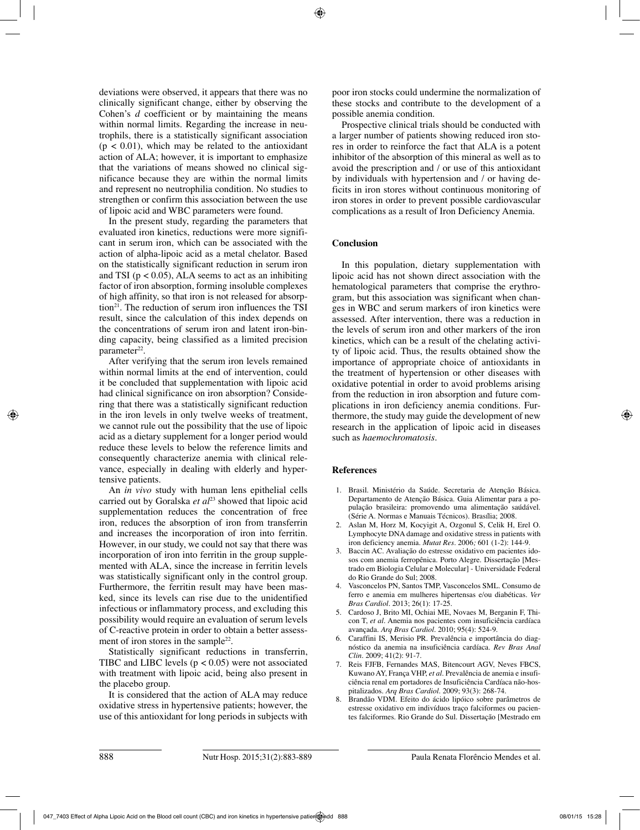deviations were observed, it appears that there was no clinically significant change, either by observing the Cohen's *d* coefficient or by maintaining the means within normal limits. Regarding the increase in neutrophils, there is a statistically significant association  $(p < 0.01)$ , which may be related to the antioxidant action of ALA; however, it is important to emphasize that the variations of means showed no clinical significance because they are within the normal limits and represent no neutrophilia condition. No studies to strengthen or confirm this association between the use of lipoic acid and WBC parameters were found.

In the present study, regarding the parameters that evaluated iron kinetics, reductions were more significant in serum iron, which can be associated with the action of alpha-lipoic acid as a metal chelator. Based on the statistically significant reduction in serum iron and TSI ( $p < 0.05$ ), ALA seems to act as an inhibiting factor of iron absorption, forming insoluble complexes of high affinity, so that iron is not released for absorption $21$ . The reduction of serum iron influences the TSI result, since the calculation of this index depends on the concentrations of serum iron and latent iron-binding capacity, being classified as a limited precision parameter<sup>22</sup>.

After verifying that the serum iron levels remained within normal limits at the end of intervention, could it be concluded that supplementation with lipoic acid had clinical significance on iron absorption? Considering that there was a statistically significant reduction in the iron levels in only twelve weeks of treatment, we cannot rule out the possibility that the use of lipoic acid as a dietary supplement for a longer period would reduce these levels to below the reference limits and consequently characterize anemia with clinical relevance, especially in dealing with elderly and hypertensive patients.

An *in vivo* study with human lens epithelial cells carried out by Goralska et al<sup>23</sup> showed that lipoic acid supplementation reduces the concentration of free iron, reduces the absorption of iron from transferrin and increases the incorporation of iron into ferritin. However, in our study, we could not say that there was incorporation of iron into ferritin in the group supplemented with ALA, since the increase in ferritin levels was statistically significant only in the control group. Furthermore, the ferritin result may have been masked, since its levels can rise due to the unidentified infectious or inflammatory process, and excluding this possibility would require an evaluation of serum levels of C-reactive protein in order to obtain a better assessment of iron stores in the sample<sup>22</sup>.

Statistically significant reductions in transferrin, TIBC and LIBC levels  $(p < 0.05)$  were not associated with treatment with lipoic acid, being also present in the placebo group.

It is considered that the action of ALA may reduce oxidative stress in hypertensive patients; however, the use of this antioxidant for long periods in subjects with poor iron stocks could undermine the normalization of these stocks and contribute to the development of a possible anemia condition.

Prospective clinical trials should be conducted with a larger number of patients showing reduced iron stores in order to reinforce the fact that ALA is a potent inhibitor of the absorption of this mineral as well as to avoid the prescription and / or use of this antioxidant by individuals with hypertension and / or having deficits in iron stores without continuous monitoring of iron stores in order to prevent possible cardiovascular complications as a result of Iron Deficiency Anemia.

## **Conclusion**

In this population, dietary supplementation with lipoic acid has not shown direct association with the hematological parameters that comprise the erythrogram, but this association was significant when changes in WBC and serum markers of iron kinetics were assessed. After intervention, there was a reduction in the levels of serum iron and other markers of the iron kinetics, which can be a result of the chelating activity of lipoic acid. Thus, the results obtained show the importance of appropriate choice of antioxidants in the treatment of hypertension or other diseases with oxidative potential in order to avoid problems arising from the reduction in iron absorption and future complications in iron deficiency anemia conditions. Furthermore, the study may guide the development of new research in the application of lipoic acid in diseases such as *haemochromatosis*.

## **References**

- 1. Brasil. Ministério da Saúde. Secretaria de Atenção Básica. Departamento de Atenção Básica. Guia Alimentar para a população brasileira: promovendo uma alimentação saúdável. (Série A. Normas e Manuais Técnicos). Brasília; 2008.
- 2. Aslan M, Horz M, Kocyigit A, Ozgonul S, Celik H, Erel O. Lymphocyte DNA damage and oxidative stress in patients with iron deficiency anemia. *Mutat Res*. 2006*;* 601 (1-2): 144-9.
- 3. Baccin AC. Avaliação do estresse oxidativo em pacientes idosos com anemia ferropênica. Porto Alegre. Dissertação [Mestrado em Biologia Celular e Molecular] - Universidade Federal do Rio Grande do Sul; 2008.
- 4. Vasconcelos PN, Santos TMP, Vasconcelos SML. Consumo de ferro e anemia em mulheres hipertensas e/ou diabéticas. *Ver Bras Cardiol*. 2013; 26(1): 17-25.
- 5. Cardoso J, Brito MI, Ochiai ME, Novaes M, Berganin F, Thicon T, *et al*. Anemia nos pacientes com insuficiência cardíaca avançada. *Arq Bras Cardiol*. 2010; 95(4): 524-9.
- 6. Caraffini IS, Merisio PR. Prevalência e importância do diagnóstico da anemia na insuficiência cardíaca. *Rev Bras Anal Clin*. 2009; 41(2): 91-7.
- 7. Reis FJFB, Fernandes MAS, Bitencourt AGV, Neves FBCS, Kuwano AY, França VHP, *et al*. Prevalência de anemia e insuficiência renal em portadores de Insuficiência Cardíaca não-hospitalizados. *Arq Bras Cardiol*. 2009; 93(3): 268-74.
- 8. Brandão VDM. Efeito do ácido lipóico sobre parâmetros de estresse oxidativo em indivíduos traço falciformes ou pacientes falciformes. Rio Grande do Sul. Dissertação [Mestrado em